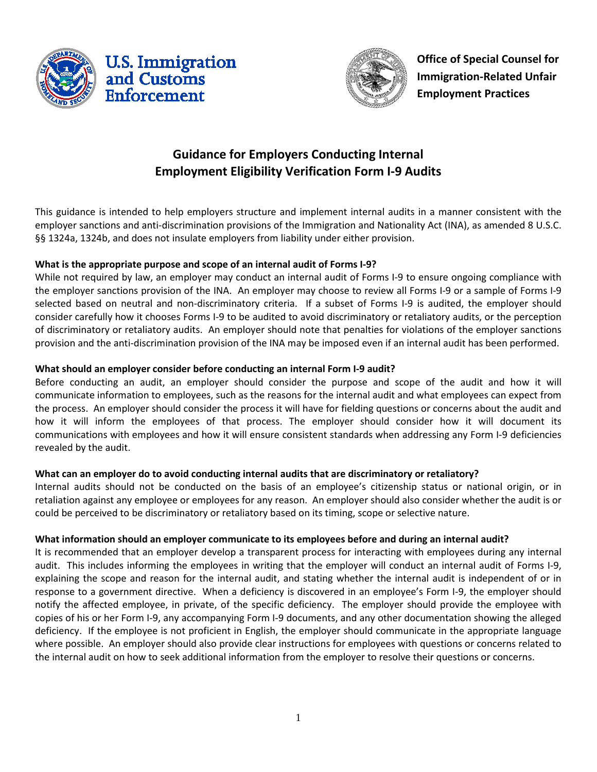



**Office of Special Counsel for Immigration-Related Unfair Employment Practices**

# **Guidance for Employers Conducting Internal Employment Eligibility Verification Form I-9 Audits**

This guidance is intended to help employers structure and implement internal audits in a manner consistent with the employer sanctions and anti-discrimination provisions of the Immigration and Nationality Act (INA), as amended 8 U.S.C. §§ 1324a, 1324b, and does not insulate employers from liability under either provision.

## **What is the appropriate purpose and scope of an internal audit of Forms I-9?**

While not required by law, an employer may conduct an internal audit of Forms I-9 to ensure ongoing compliance with the employer sanctions provision of the INA. An employer may choose to review all Forms I-9 or a sample of Forms I-9 selected based on neutral and non-discriminatory criteria. If a subset of Forms I-9 is audited, the employer should consider carefully how it chooses Forms I-9 to be audited to avoid discriminatory or retaliatory audits, or the perception of discriminatory or retaliatory audits. An employer should note that penalties for violations of the employer sanctions provision and the anti-discrimination provision of the INA may be imposed even if an internal audit has been performed.

## **What should an employer consider before conducting an internal Form I-9 audit?**

Before conducting an audit, an employer should consider the purpose and scope of the audit and how it will communicate information to employees, such as the reasons for the internal audit and what employees can expect from the process. An employer should consider the process it will have for fielding questions or concerns about the audit and how it will inform the employees of that process. The employer should consider how it will document its communications with employees and how it will ensure consistent standards when addressing any Form I-9 deficiencies revealed by the audit.

# **What can an employer do to avoid conducting internal audits that are discriminatory or retaliatory?**

Internal audits should not be conducted on the basis of an employee's citizenship status or national origin, or in retaliation against any employee or employees for any reason. An employer should also consider whether the audit is or could be perceived to be discriminatory or retaliatory based on its timing, scope or selective nature.

#### **What information should an employer communicate to its employees before and during an internal audit?**

It is recommended that an employer develop a transparent process for interacting with employees during any internal audit. This includes informing the employees in writing that the employer will conduct an internal audit of Forms I-9, explaining the scope and reason for the internal audit, and stating whether the internal audit is independent of or in response to a government directive. When a deficiency is discovered in an employee's Form I-9, the employer should notify the affected employee, in private, of the specific deficiency. The employer should provide the employee with copies of his or her Form I-9, any accompanying Form I-9 documents, and any other documentation showing the alleged deficiency. If the employee is not proficient in English, the employer should communicate in the appropriate language where possible. An employer should also provide clear instructions for employees with questions or concerns related to the internal audit on how to seek additional information from the employer to resolve their questions or concerns.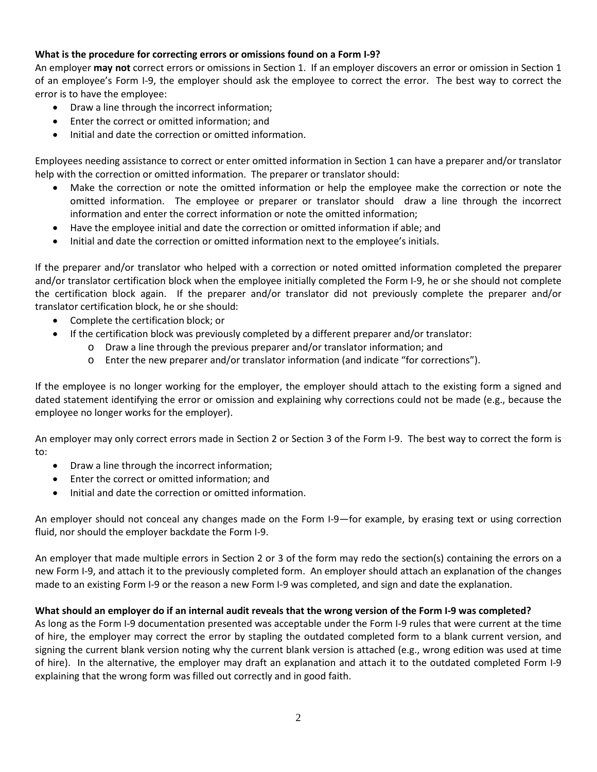## **What is the procedure for correcting errors or omissions found on a Form I-9?**

An employer **may not** correct errors or omissions in Section 1. If an employer discovers an error or omission in Section 1 of an employee's Form I-9, the employer should ask the employee to correct the error. The best way to correct the error is to have the employee:

- Draw a line through the incorrect information;
- Enter the correct or omitted information; and
- Initial and date the correction or omitted information.

Employees needing assistance to correct or enter omitted information in Section 1 can have a preparer and/or translator help with the correction or omitted information. The preparer or translator should:

- Make the correction or note the omitted information or help the employee make the correction or note the omitted information. The employee or preparer or translator should draw a line through the incorrect information and enter the correct information or note the omitted information;
- Have the employee initial and date the correction or omitted information if able; and
- Initial and date the correction or omitted information next to the employee's initials.

If the preparer and/or translator who helped with a correction or noted omitted information completed the preparer and/or translator certification block when the employee initially completed the Form I-9, he or she should not complete the certification block again. If the preparer and/or translator did not previously complete the preparer and/or translator certification block, he or she should:

- Complete the certification block; or
- If the certification block was previously completed by a different preparer and/or translator:
	- o Draw a line through the previous preparer and/or translator information; and
	- o Enter the new preparer and/or translator information (and indicate "for corrections").

If the employee is no longer working for the employer, the employer should attach to the existing form a signed and dated statement identifying the error or omission and explaining why corrections could not be made (e.g., because the employee no longer works for the employer).

An employer may only correct errors made in Section 2 or Section 3 of the Form I-9. The best way to correct the form is to:

- Draw a line through the incorrect information;
- Enter the correct or omitted information; and
- Initial and date the correction or omitted information.

An employer should not conceal any changes made on the Form I-9—for example, by erasing text or using correction fluid, nor should the employer backdate the Form I-9.

An employer that made multiple errors in Section 2 or 3 of the form may redo the section(s) containing the errors on a new Form I-9, and attach it to the previously completed form. An employer should attach an explanation of the changes made to an existing Form I-9 or the reason a new Form I-9 was completed, and sign and date the explanation.

#### **What should an employer do if an internal audit reveals that the wrong version of the Form I-9 was completed?**

As long as the Form I-9 documentation presented was acceptable under the Form I-9 rules that were current at the time of hire, the employer may correct the error by stapling the outdated completed form to a blank current version, and signing the current blank version noting why the current blank version is attached (e.g., wrong edition was used at time of hire). In the alternative, the employer may draft an explanation and attach it to the outdated completed Form I-9 explaining that the wrong form was filled out correctly and in good faith.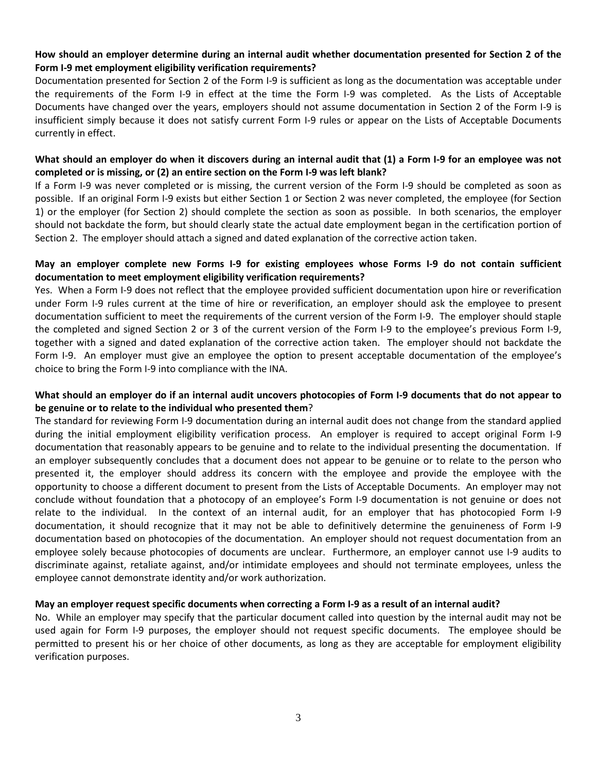#### **How should an employer determine during an internal audit whether documentation presented for Section 2 of the Form I-9 met employment eligibility verification requirements?**

Documentation presented for Section 2 of the Form I-9 is sufficient as long as the documentation was acceptable under the requirements of the Form I-9 in effect at the time the Form I-9 was completed. As the Lists of Acceptable Documents have changed over the years, employers should not assume documentation in Section 2 of the Form I-9 is insufficient simply because it does not satisfy current Form I-9 rules or appear on the Lists of Acceptable Documents currently in effect.

#### **What should an employer do when it discovers during an internal audit that (1) a Form I-9 for an employee was not completed or is missing, or (2) an entire section on the Form I-9 was left blank?**

If a Form I-9 was never completed or is missing, the current version of the Form I-9 should be completed as soon as possible. If an original Form I-9 exists but either Section 1 or Section 2 was never completed, the employee (for Section 1) or the employer (for Section 2) should complete the section as soon as possible. In both scenarios, the employer should not backdate the form, but should clearly state the actual date employment began in the certification portion of Section 2. The employer should attach a signed and dated explanation of the corrective action taken.

## **May an employer complete new Forms I-9 for existing employees whose Forms I-9 do not contain sufficient documentation to meet employment eligibility verification requirements?**

Yes. When a Form I-9 does not reflect that the employee provided sufficient documentation upon hire or reverification under Form I-9 rules current at the time of hire or reverification, an employer should ask the employee to present documentation sufficient to meet the requirements of the current version of the Form I-9. The employer should staple the completed and signed Section 2 or 3 of the current version of the Form I-9 to the employee's previous Form I-9, together with a signed and dated explanation of the corrective action taken. The employer should not backdate the Form I-9. An employer must give an employee the option to present acceptable documentation of the employee's choice to bring the Form I-9 into compliance with the INA.

## **What should an employer do if an internal audit uncovers photocopies of Form I-9 documents that do not appear to be genuine or to relate to the individual who presented them**?

The standard for reviewing Form I-9 documentation during an internal audit does not change from the standard applied during the initial employment eligibility verification process. An employer is required to accept original Form I-9 documentation that reasonably appears to be genuine and to relate to the individual presenting the documentation. If an employer subsequently concludes that a document does not appear to be genuine or to relate to the person who presented it, the employer should address its concern with the employee and provide the employee with the opportunity to choose a different document to present from the Lists of Acceptable Documents. An employer may not conclude without foundation that a photocopy of an employee's Form I-9 documentation is not genuine or does not relate to the individual. In the context of an internal audit, for an employer that has photocopied Form I-9 documentation, it should recognize that it may not be able to definitively determine the genuineness of Form I-9 documentation based on photocopies of the documentation. An employer should not request documentation from an employee solely because photocopies of documents are unclear. Furthermore, an employer cannot use I-9 audits to discriminate against, retaliate against, and/or intimidate employees and should not terminate employees, unless the employee cannot demonstrate identity and/or work authorization.

#### **May an employer request specific documents when correcting a Form I-9 as a result of an internal audit?**

No. While an employer may specify that the particular document called into question by the internal audit may not be used again for Form I-9 purposes, the employer should not request specific documents. The employee should be permitted to present his or her choice of other documents, as long as they are acceptable for employment eligibility verification purposes.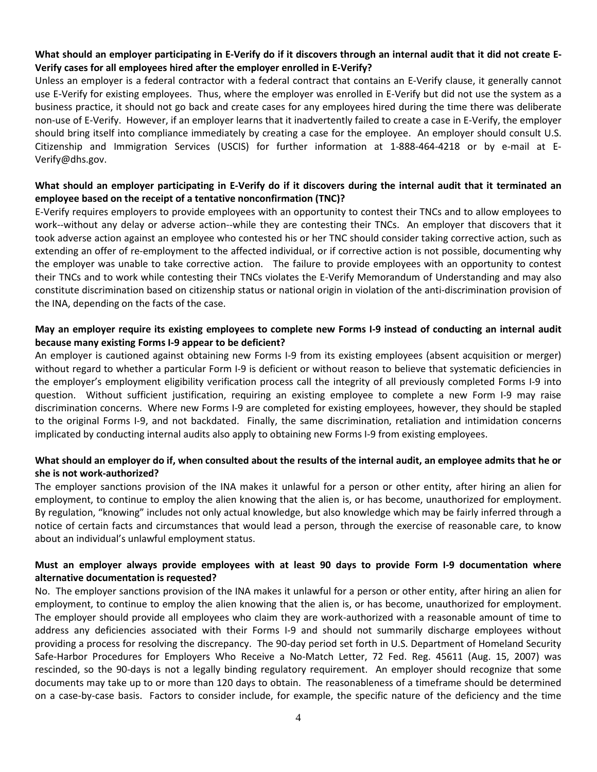## **What should an employer participating in E-Verify do if it discovers through an internal audit that it did not create E-Verify cases for all employees hired after the employer enrolled in E-Verify?**

Unless an employer is a federal contractor with a federal contract that contains an E-Verify clause, it generally cannot use E-Verify for existing employees. Thus, where the employer was enrolled in E-Verify but did not use the system as a business practice, it should not go back and create cases for any employees hired during the time there was deliberate non-use of E-Verify. However, if an employer learns that it inadvertently failed to create a case in E-Verify, the employer should bring itself into compliance immediately by creating a case for the employee. An employer should consult U.S. Citizenship and Immigration Services (USCIS) for further information at 1-888-464-4218 or by e-mail at E-Verify@dhs.gov.

## **What should an employer participating in E-Verify do if it discovers during the internal audit that it terminated an employee based on the receipt of a tentative nonconfirmation (TNC)?**

E-Verify requires employers to provide employees with an opportunity to contest their TNCs and to allow employees to work--without any delay or adverse action--while they are contesting their TNCs. An employer that discovers that it took adverse action against an employee who contested his or her TNC should consider taking corrective action, such as extending an offer of re-employment to the affected individual, or if corrective action is not possible, documenting why the employer was unable to take corrective action. The failure to provide employees with an opportunity to contest their TNCs and to work while contesting their TNCs violates the E-Verify Memorandum of Understanding and may also constitute discrimination based on citizenship status or national origin in violation of the anti-discrimination provision of the INA, depending on the facts of the case.

## **May an employer require its existing employees to complete new Forms I-9 instead of conducting an internal audit because many existing Forms I-9 appear to be deficient?**

An employer is cautioned against obtaining new Forms I-9 from its existing employees (absent acquisition or merger) without regard to whether a particular Form I-9 is deficient or without reason to believe that systematic deficiencies in the employer's employment eligibility verification process call the integrity of all previously completed Forms I-9 into question. Without sufficient justification, requiring an existing employee to complete a new Form I-9 may raise discrimination concerns. Where new Forms I-9 are completed for existing employees, however, they should be stapled to the original Forms I-9, and not backdated. Finally, the same discrimination, retaliation and intimidation concerns implicated by conducting internal audits also apply to obtaining new Forms I-9 from existing employees.

## **What should an employer do if, when consulted about the results of the internal audit, an employee admits that he or she is not work-authorized?**

The employer sanctions provision of the INA makes it unlawful for a person or other entity, after hiring an alien for employment, to continue to employ the alien knowing that the alien is, or has become, unauthorized for employment. By regulation, "knowing" includes not only actual knowledge, but also knowledge which may be fairly inferred through a notice of certain facts and circumstances that would lead a person, through the exercise of reasonable care, to know about an individual's unlawful employment status.

## **Must an employer always provide employees with at least 90 days to provide Form I-9 documentation where alternative documentation is requested?**

No. The employer sanctions provision of the INA makes it unlawful for a person or other entity, after hiring an alien for employment, to continue to employ the alien knowing that the alien is, or has become, unauthorized for employment. The employer should provide all employees who claim they are work-authorized with a reasonable amount of time to address any deficiencies associated with their Forms I-9 and should not summarily discharge employees without providing a process for resolving the discrepancy. The 90-day period set forth in U.S. Department of Homeland Security Safe-Harbor Procedures for Employers Who Receive a No-Match Letter, 72 Fed. Reg. 45611 (Aug. 15, 2007) was rescinded, so the 90-days is not a legally binding regulatory requirement. An employer should recognize that some documents may take up to or more than 120 days to obtain. The reasonableness of a timeframe should be determined on a case-by-case basis. Factors to consider include, for example, the specific nature of the deficiency and the time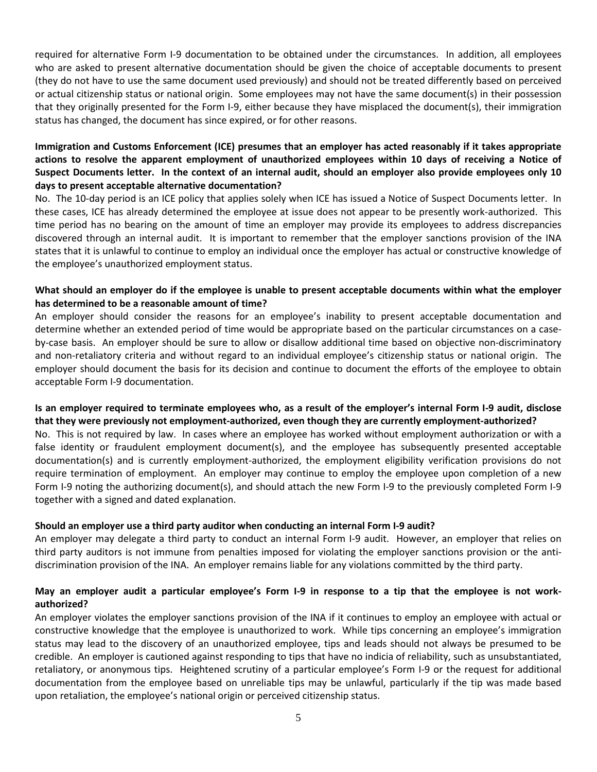required for alternative Form I-9 documentation to be obtained under the circumstances. In addition, all employees who are asked to present alternative documentation should be given the choice of acceptable documents to present (they do not have to use the same document used previously) and should not be treated differently based on perceived or actual citizenship status or national origin. Some employees may not have the same document(s) in their possession that they originally presented for the Form I-9, either because they have misplaced the document(s), their immigration status has changed, the document has since expired, or for other reasons.

# **Immigration and Customs Enforcement (ICE) presumes that an employer has acted reasonably if it takes appropriate actions to resolve the apparent employment of unauthorized employees within 10 days of receiving a Notice of Suspect Documents letter. In the context of an internal audit, should an employer also provide employees only 10 days to present acceptable alternative documentation?**

No. The 10-day period is an ICE policy that applies solely when ICE has issued a Notice of Suspect Documents letter. In these cases, ICE has already determined the employee at issue does not appear to be presently work-authorized. This time period has no bearing on the amount of time an employer may provide its employees to address discrepancies discovered through an internal audit. It is important to remember that the employer sanctions provision of the INA states that it is unlawful to continue to employ an individual once the employer has actual or constructive knowledge of the employee's unauthorized employment status.

## **What should an employer do if the employee is unable to present acceptable documents within what the employer has determined to be a reasonable amount of time?**

An employer should consider the reasons for an employee's inability to present acceptable documentation and determine whether an extended period of time would be appropriate based on the particular circumstances on a caseby-case basis. An employer should be sure to allow or disallow additional time based on objective non-discriminatory and non-retaliatory criteria and without regard to an individual employee's citizenship status or national origin. The employer should document the basis for its decision and continue to document the efforts of the employee to obtain acceptable Form I-9 documentation.

## **Is an employer required to terminate employees who, as a result of the employer's internal Form I-9 audit, disclose that they were previously not employment-authorized, even though they are currently employment-authorized?**

No. This is not required by law. In cases where an employee has worked without employment authorization or with a false identity or fraudulent employment document(s), and the employee has subsequently presented acceptable documentation(s) and is currently employment-authorized, the employment eligibility verification provisions do not require termination of employment. An employer may continue to employ the employee upon completion of a new Form I-9 noting the authorizing document(s), and should attach the new Form I-9 to the previously completed Form I-9 together with a signed and dated explanation.

#### **Should an employer use a third party auditor when conducting an internal Form I-9 audit?**

An employer may delegate a third party to conduct an internal Form I-9 audit. However, an employer that relies on third party auditors is not immune from penalties imposed for violating the employer sanctions provision or the antidiscrimination provision of the INA. An employer remains liable for any violations committed by the third party.

## **May an employer audit a particular employee's Form I-9 in response to a tip that the employee is not workauthorized?**

An employer violates the employer sanctions provision of the INA if it continues to employ an employee with actual or constructive knowledge that the employee is unauthorized to work. While tips concerning an employee's immigration status may lead to the discovery of an unauthorized employee, tips and leads should not always be presumed to be credible. An employer is cautioned against responding to tips that have no indicia of reliability, such as unsubstantiated, retaliatory, or anonymous tips. Heightened scrutiny of a particular employee's Form I-9 or the request for additional documentation from the employee based on unreliable tips may be unlawful, particularly if the tip was made based upon retaliation, the employee's national origin or perceived citizenship status.